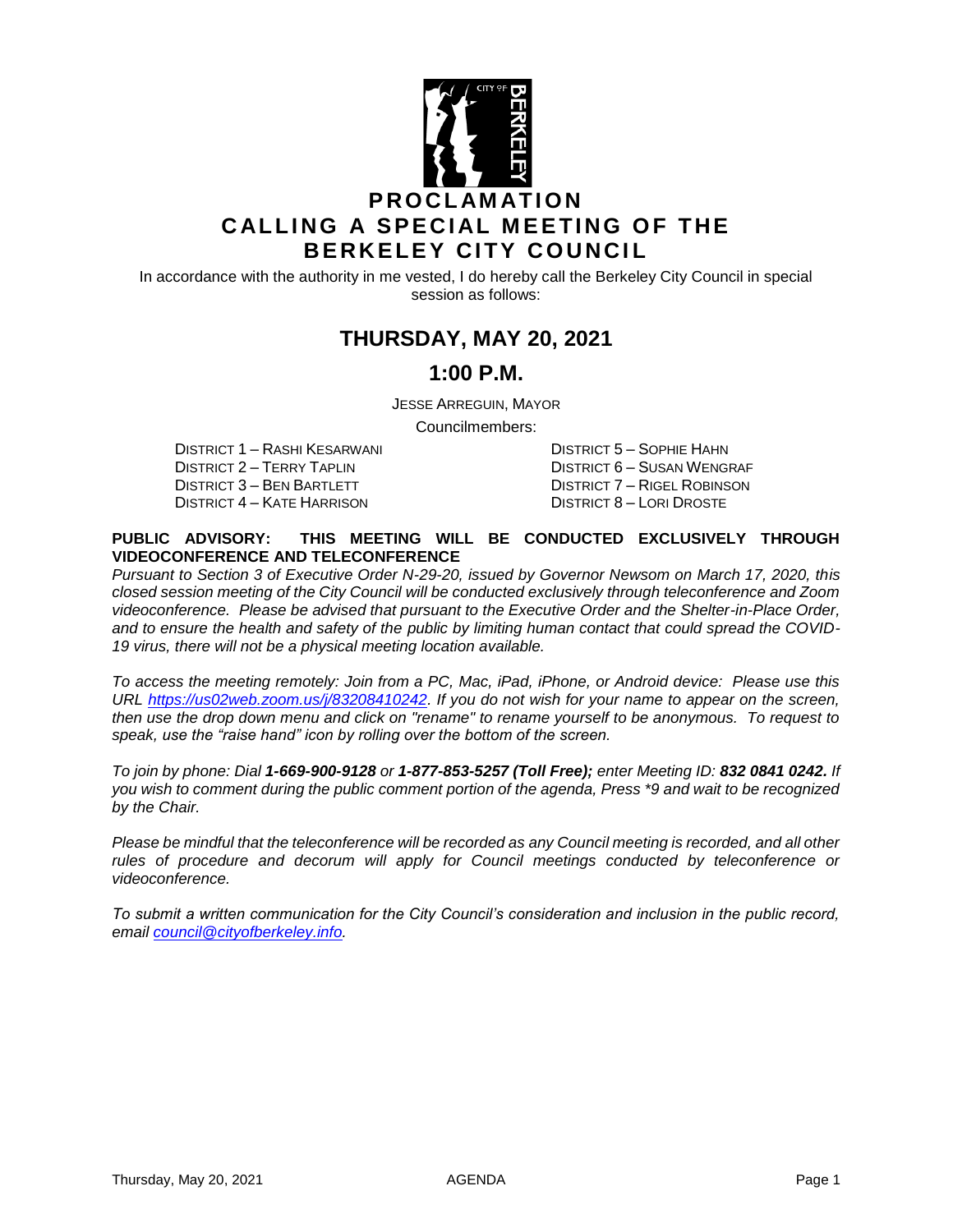

In accordance with the authority in me vested, I do hereby call the Berkeley City Council in special session as follows:

# **THURSDAY, MAY 20, 2021**

### **1:00 P.M.**

JESSE ARREGUIN, MAYOR

Councilmembers:

DISTRICT 1 – RASHI KESARWANI DISTRICT 5 – SOPHIE HAHN DISTRICT 3 – BEN BARTLETT DISTRICT 7 – RIGEL ROBINSON DISTRICT 4 – KATE HARRISON DISTRICT 8 – LORI DROSTE

DISTRICT 6 – SUSAN WENGRAF

#### **PUBLIC ADVISORY: THIS MEETING WILL BE CONDUCTED EXCLUSIVELY THROUGH VIDEOCONFERENCE AND TELECONFERENCE**

*Pursuant to Section 3 of Executive Order N-29-20, issued by Governor Newsom on March 17, 2020, this closed session meeting of the City Council will be conducted exclusively through teleconference and Zoom videoconference. Please be advised that pursuant to the Executive Order and the Shelter-in-Place Order, and to ensure the health and safety of the public by limiting human contact that could spread the COVID-19 virus, there will not be a physical meeting location available.* 

*To access the meeting remotely: Join from a PC, Mac, iPad, iPhone, or Android device: Please use this URL [https://us02web.zoom.us/j/83208410242.](https://us02web.zoom.us/j/83208410242) If you do not wish for your name to appear on the screen, then use the drop down menu and click on "rename" to rename yourself to be anonymous. To request to speak, use the "raise hand" icon by rolling over the bottom of the screen.* 

*To join by phone: Dial 1-669-900-9128 or 1-877-853-5257 (Toll Free); enter Meeting ID: 832 0841 0242. If you wish to comment during the public comment portion of the agenda, Press \*9 and wait to be recognized by the Chair.* 

*Please be mindful that the teleconference will be recorded as any Council meeting is recorded, and all other rules of procedure and decorum will apply for Council meetings conducted by teleconference or videoconference.*

*To submit a written communication for the City Council's consideration and inclusion in the public record, email [council@cityofberkeley.info.](mailto:council@cityofberkeley.info)*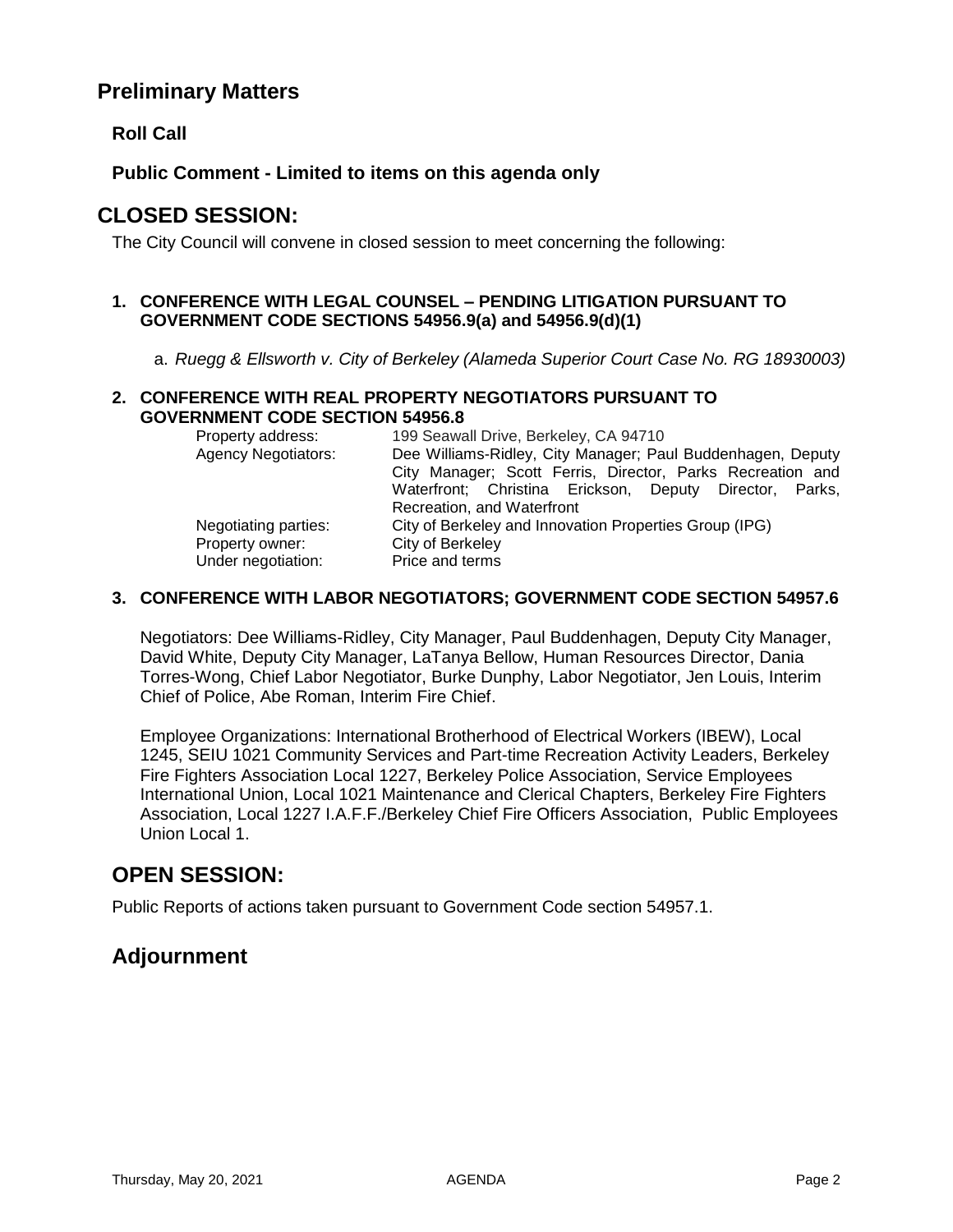## **Preliminary Matters**

**Roll Call**

**Public Comment - Limited to items on this agenda only**

## **CLOSED SESSION:**

The City Council will convene in closed session to meet concerning the following:

#### **1. CONFERENCE WITH LEGAL COUNSEL – PENDING LITIGATION PURSUANT TO GOVERNMENT CODE SECTIONS 54956.9(a) and 54956.9(d)(1)**

a. *Ruegg & Ellsworth v. City of Berkeley (Alameda Superior Court Case No. RG 18930003)* 

#### **2. CONFERENCE WITH REAL PROPERTY NEGOTIATORS PURSUANT TO GOVERNMENT CODE SECTION 54956.8**

| Property address:          | 199 Seawall Drive, Berkeley, CA 94710                       |
|----------------------------|-------------------------------------------------------------|
| <b>Agency Negotiators:</b> | Dee Williams-Ridley, City Manager; Paul Buddenhagen, Deputy |
|                            | City Manager; Scott Ferris, Director, Parks Recreation and  |
|                            | Waterfront; Christina Erickson, Deputy Director, Parks,     |
|                            | Recreation, and Waterfront                                  |
| Negotiating parties:       | City of Berkeley and Innovation Properties Group (IPG)      |
| Property owner:            | City of Berkeley                                            |
| Under negotiation:         | Price and terms                                             |

### **3. CONFERENCE WITH LABOR NEGOTIATORS; GOVERNMENT CODE SECTION 54957.6**

Negotiators: Dee Williams-Ridley, City Manager, Paul Buddenhagen, Deputy City Manager, David White, Deputy City Manager, LaTanya Bellow, Human Resources Director, Dania Torres-Wong, Chief Labor Negotiator, Burke Dunphy, Labor Negotiator, Jen Louis, Interim Chief of Police, Abe Roman, Interim Fire Chief.

Employee Organizations: International Brotherhood of Electrical Workers (IBEW), Local 1245, SEIU 1021 Community Services and Part-time Recreation Activity Leaders, Berkeley Fire Fighters Association Local 1227, Berkeley Police Association, Service Employees International Union, Local 1021 Maintenance and Clerical Chapters, Berkeley Fire Fighters Association, Local 1227 I.A.F.F./Berkeley Chief Fire Officers Association, Public Employees Union Local 1.

# **OPEN SESSION:**

Public Reports of actions taken pursuant to Government Code section 54957.1.

# **Adjournment**